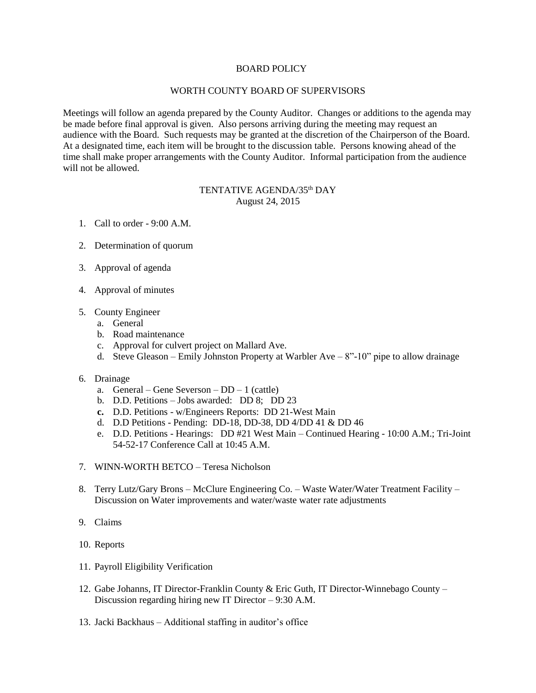## BOARD POLICY

## WORTH COUNTY BOARD OF SUPERVISORS

Meetings will follow an agenda prepared by the County Auditor. Changes or additions to the agenda may be made before final approval is given. Also persons arriving during the meeting may request an audience with the Board. Such requests may be granted at the discretion of the Chairperson of the Board. At a designated time, each item will be brought to the discussion table. Persons knowing ahead of the time shall make proper arrangements with the County Auditor. Informal participation from the audience will not be allowed.

## TENTATIVE AGENDA/35<sup>th</sup> DAY August 24, 2015

- 1. Call to order 9:00 A.M.
- 2. Determination of quorum
- 3. Approval of agenda
- 4. Approval of minutes
- 5. County Engineer
	- a. General
	- b. Road maintenance
	- c. Approval for culvert project on Mallard Ave.
	- d. Steve Gleason Emily Johnston Property at Warbler Ave  $8"$ -10" pipe to allow drainage
- 6. Drainage
	- a. General Gene Severson DD 1 (cattle)
	- b. D.D. Petitions Jobs awarded: DD 8; DD 23
	- **c.** D.D. Petitions w/Engineers Reports: DD 21-West Main
	- d. D.D Petitions Pending: DD-18, DD-38, DD 4/DD 41 & DD 46
	- e. D.D. Petitions Hearings: DD #21 West Main Continued Hearing 10:00 A.M.; Tri-Joint 54-52-17 Conference Call at 10:45 A.M.
- 7. WINN-WORTH BETCO Teresa Nicholson
- 8. Terry Lutz/Gary Brons McClure Engineering Co. Waste Water/Water Treatment Facility Discussion on Water improvements and water/waste water rate adjustments
- 9. Claims
- 10. Reports
- 11. Payroll Eligibility Verification
- 12. Gabe Johanns, IT Director-Franklin County & Eric Guth, IT Director-Winnebago County Discussion regarding hiring new IT Director – 9:30 A.M.
- 13. Jacki Backhaus Additional staffing in auditor's office